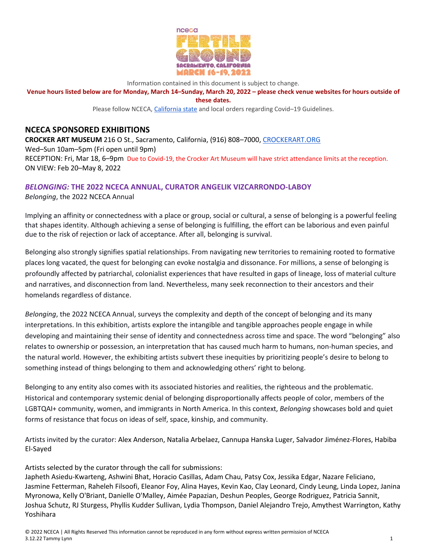

Information contained in this document is subject to change.

**Venue hours listed below are for Monday, March 14–Sunday, March 20, 2022 – please check venue websites for hours outside of these dates.**

Please follow NCECA, California state and local orders regarding Covid–19 Guidelines.

## **NCECA SPONSORED EXHIBITIONS**

**CROCKER ART MUSEUM** 216 O St., Sacramento, California, (916) 808–7000, CROCKERART.ORG Wed–Sun 10am–5pm (Fri open until 9pm) RECEPTION: Fri, Mar 18, 6–9pm Due to Covid-19, the Crocker Art Museum will have strict attendance limits at the reception. ON VIEW: Feb 20–May 8, 2022

## *BELONGING:* **THE 2022 NCECA ANNUAL, CURATOR ANGELIK VIZCARRONDO-LABOY**

*Belonging*, the 2022 NCECA Annual

Implying an affinity or connectedness with a place or group, social or cultural, a sense of belonging is a powerful feeling that shapes identity. Although achieving a sense of belonging is fulfilling, the effort can be laborious and even painful due to the risk of rejection or lack of acceptance. After all, belonging is survival.

Belonging also strongly signifies spatial relationships. From navigating new territories to remaining rooted to formative places long vacated, the quest for belonging can evoke nostalgia and dissonance. For millions, a sense of belonging is profoundly affected by patriarchal, colonialist experiences that have resulted in gaps of lineage, loss of material culture and narratives, and disconnection from land. Nevertheless, many seek reconnection to their ancestors and their homelands regardless of distance.

*Belonging*, the 2022 NCECA Annual, surveys the complexity and depth of the concept of belonging and its many interpretations. In this exhibition, artists explore the intangible and tangible approaches people engage in while developing and maintaining their sense of identity and connectedness across time and space. The word "belonging" also relates to ownership or possession, an interpretation that has caused much harm to humans, non-human species, and the natural world. However, the exhibiting artists subvert these inequities by prioritizing people's desire to belong to something instead of things belonging to them and acknowledging others' right to belong.

Belonging to any entity also comes with its associated histories and realities, the righteous and the problematic. Historical and contemporary systemic denial of belonging disproportionally affects people of color, members of the LGBTQAI+ community, women, and immigrants in North America. In this context, *Belonging* showcases bold and quiet forms of resistance that focus on ideas of self, space, kinship, and community.

Artists invited by the curator: Alex Anderson, Natalia Arbelaez, Cannupa Hanska Luger, Salvador Jiménez-Flores, Habiba El-Sayed

Artists selected by the curator through the call for submissions:

Japheth Asiedu-Kwarteng, Ashwini Bhat, Horacio Casillas, Adam Chau, Patsy Cox, Jessika Edgar, Nazare Feliciano, Jasmine Fetterman, Raheleh Filsoofi, Eleanor Foy, Alina Hayes, Kevin Kao, Clay Leonard, Cindy Leung, Linda Lopez, Janina Myronowa, Kelly O'Briant, Danielle O'Malley, Aimée Papazian, Deshun Peoples, George Rodriguez, Patricia Sannit, Joshua Schutz, RJ Sturgess, Phyllis Kudder Sullivan, Lydia Thompson, Daniel Alejandro Trejo, Amythest Warrington, Kathy Yoshihara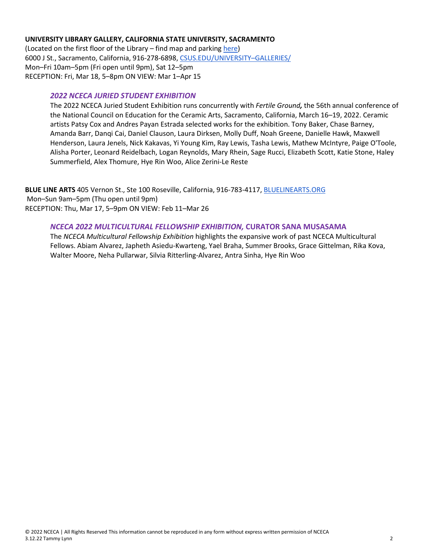### **UNIVERSITY LIBRARY GALLERY, CALIFORNIA STATE UNIVERSITY, SACRAMENTO**

(Located on the first floor of the Library – find map and parking here) 6000 J St., Sacramento, California, 916-278-6898, CSUS.EDU/UNIVERSITY–GALLERIES/ Mon–Fri 10am–5pm (Fri open until 9pm), Sat 12–5pm RECEPTION: Fri, Mar 18, 5–8pm ON VIEW: Mar 1–Apr 15

## *2022 NCECA JURIED STUDENT EXHIBITION*

The 2022 NCECA Juried Student Exhibition runs concurrently with *Fertile Ground,* the 56th annual conference of the National Council on Education for the Ceramic Arts, Sacramento, California, March 16–19, 2022. Ceramic artists Patsy Cox and Andres Payan Estrada selected works for the exhibition. Tony Baker, Chase Barney, Amanda Barr, Danqi Cai, Daniel Clauson, Laura Dirksen, Molly Duff, Noah Greene, Danielle Hawk, Maxwell Henderson, Laura Jenels, Nick Kakavas, Yi Young Kim, Ray Lewis, Tasha Lewis, Mathew McIntyre, Paige O'Toole, Alisha Porter, Leonard Reidelbach, Logan Reynolds, Mary Rhein, Sage Rucci, Elizabeth Scott, Katie Stone, Haley Summerfield, Alex Thomure, Hye Rin Woo, Alice Zerini-Le Reste

**BLUE LINE ARTS** 405 Vernon St., Ste 100 Roseville, California, 916-783-4117, BLUELINEARTS.ORG Mon–Sun 9am–5pm (Thu open until 9pm) RECEPTION: Thu, Mar 17, 5–9pm ON VIEW: Feb 11–Mar 26

### *NCECA 2022 MULTICULTURAL FELLOWSHIP EXHIBITION,* **CURATOR SANA MUSASAMA**

The *NCECA Multicultural Fellowship Exhibition* highlights the expansive work of past NCECA Multicultural Fellows. Abiam Alvarez, Japheth Asiedu-Kwarteng, Yael Braha, Summer Brooks, Grace Gittelman, Rika Kova, Walter Moore, Neha Pullarwar, Silvia Ritterling-Alvarez, Antra Sinha, Hye Rin Woo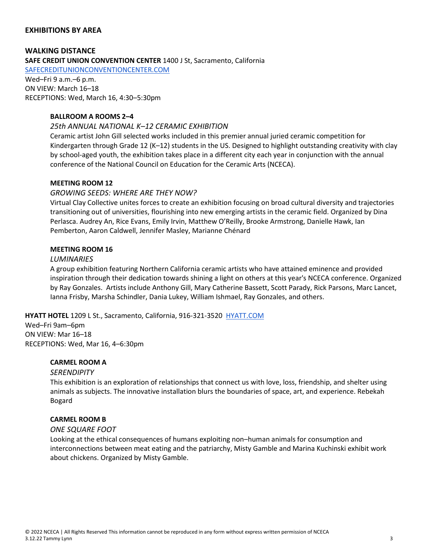## **EXHIBITIONS BY AREA**

**WALKING DISTANCE SAFE CREDIT UNION CONVENTION CENTER** 1400 J St, Sacramento, California

SAFECREDITUNIONCONVENTIONCENTER.COM

Wed–Fri 9 a.m.–6 p.m. ON VIEW: March 16–18 RECEPTIONS: Wed, March 16, 4:30–5:30pm

## **BALLROOM A ROOMS 2–4**

#### *25th ANNUAL NATIONAL K–12 CERAMIC EXHIBITION*

Ceramic artist John Gill selected works included in this premier annual juried ceramic competition for Kindergarten through Grade 12 (K–12) students in the US. Designed to highlight outstanding creativity with clay by school-aged youth, the exhibition takes place in a different city each year in conjunction with the annual conference of the National Council on Education for the Ceramic Arts (NCECA).

#### **MEETING ROOM 12**

#### *GROWING SEEDS: WHERE ARE THEY NOW?*

Virtual Clay Collective unites forces to create an exhibition focusing on broad cultural diversity and trajectories transitioning out of universities, flourishing into new emerging artists in the ceramic field. Organized by Dina Perlasca. Audrey An, Rice Evans, Emily Irvin, Matthew O'Reilly, Brooke Armstrong, Danielle Hawk, Ian Pemberton, Aaron Caldwell, Jennifer Masley, Marianne Chénard

### **MEETING ROOM 16**

#### *LUMINARIES*

A group exhibition featuring Northern California ceramic artists who have attained eminence and provided inspiration through their dedication towards shining a light on others at this year's NCECA conference. Organized by Ray Gonzales. Artists include Anthony Gill, Mary Catherine Bassett, Scott Parady, Rick Parsons, Marc Lancet, Ianna Frisby, Marsha Schindler, Dania Lukey, William Ishmael, Ray Gonzales, and others.

### **HYATT HOTEL** 1209 L St., Sacramento, California, 916-321-3520 HYATT.COM

Wed–Fri 9am–6pm ON VIEW: Mar 16–18 RECEPTIONS: Wed, Mar 16, 4–6:30pm

### **CARMEL ROOM A**

#### *SERENDIPITY*

This exhibition is an exploration of relationships that connect us with love, loss, friendship, and shelter using animals as subjects. The innovative installation blurs the boundaries of space, art, and experience. Rebekah Bogard

### **CARMEL ROOM B**

#### *ONE SQUARE FOOT*

Looking at the ethical consequences of humans exploiting non–human animals for consumption and interconnections between meat eating and the patriarchy, Misty Gamble and Marina Kuchinski exhibit work about chickens. Organized by Misty Gamble.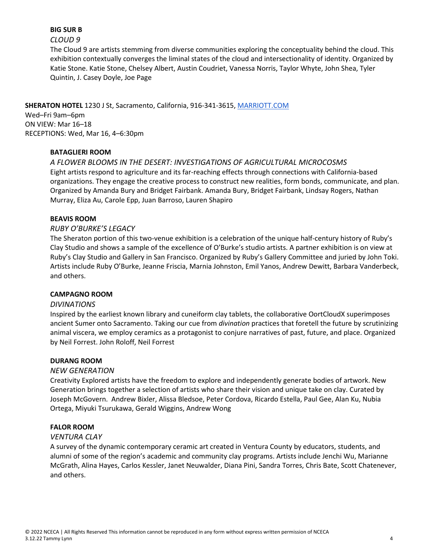## **BIG SUR B**

### *CLOUD 9*

The Cloud 9 are artists stemming from diverse communities exploring the conceptuality behind the cloud. This exhibition contextually converges the liminal states of the cloud and intersectionality of identity. Organized by Katie Stone. Katie Stone, Chelsey Albert, Austin Coudriet, Vanessa Norris, Taylor Whyte, John Shea, Tyler Quintin, J. Casey Doyle, Joe Page

**SHERATON HOTEL** 1230 J St, Sacramento, California, 916-341-3615, MARRIOTT.COM Wed–Fri 9am–6pm ON VIEW: Mar 16–18 RECEPTIONS: Wed, Mar 16, 4–6:30pm

## **BATAGLIERI ROOM**

*A FLOWER BLOOMS IN THE DESERT: INVESTIGATIONS OF AGRICULTURAL MICROCOSMS*  Eight artists respond to agriculture and its far-reaching effects through connections with California-based organizations. They engage the creative process to construct new realities, form bonds, communicate, and plan. Organized by Amanda Bury and Bridget Fairbank. Amanda Bury, Bridget Fairbank, Lindsay Rogers, Nathan Murray, Eliza Au, Carole Epp, Juan Barroso, Lauren Shapiro

## **BEAVIS ROOM**

## *RUBY O'BURKE'S LEGACY*

The Sheraton portion of this two-venue exhibition is a celebration of the unique half-century history of Ruby's Clay Studio and shows a sample of the excellence of O'Burke's studio artists. A partner exhibition is on view at Ruby's Clay Studio and Gallery in San Francisco. Organized by Ruby's Gallery Committee and juried by John Toki. Artists include Ruby O'Burke, Jeanne Friscia, Marnia Johnston, Emil Yanos, Andrew Dewitt, Barbara Vanderbeck, and others.

### **CAMPAGNO ROOM**

### *DIVINATIONS*

Inspired by the earliest known library and cuneiform clay tablets, the collaborative OortCloudX superimposes ancient Sumer onto Sacramento. Taking our cue from *divination* practices that foretell the future by scrutinizing animal viscera, we employ ceramics as a protagonist to conjure narratives of past, future, and place. Organized by Neil Forrest. John Roloff, Neil Forrest

### **DURANG ROOM**

### *NEW GENERATION*

Creativity Explored artists have the freedom to explore and independently generate bodies of artwork. New Generation brings together a selection of artists who share their vision and unique take on clay. Curated by Joseph McGovern. Andrew Bixler, Alissa Bledsoe, Peter Cordova, Ricardo Estella, Paul Gee, Alan Ku, Nubia Ortega, Miyuki Tsurukawa, Gerald Wiggins, Andrew Wong

### **FALOR ROOM**

### *VENTURA CLAY*

A survey of the dynamic contemporary ceramic art created in Ventura County by educators, students, and alumni of some of the region's academic and community clay programs. Artists include Jenchi Wu, Marianne McGrath, Alina Hayes, Carlos Kessler, Janet Neuwalder, Diana Pini, Sandra Torres, Chris Bate, Scott Chatenever, and others.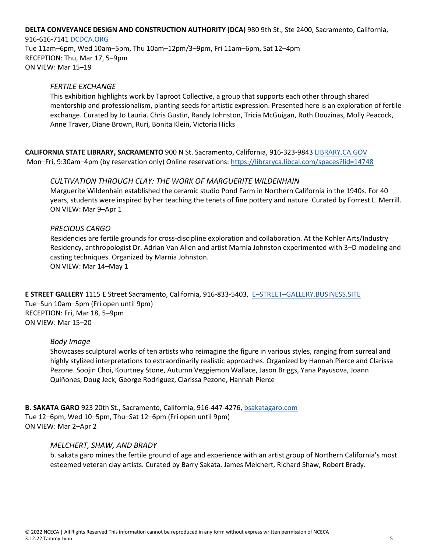#### **DELTA CONVEYANCE DESIGN AND CONSTRUCTION AUTHORITY (DCA)** 980 9th St., Ste 2400, Sacramento, California,

#### 916-616-7141 DCDCA.ORG

Tue 11am–6pm, Wed 10am–5pm, Thu 10am–12pm/3–9pm, Fri 11am–6pm, Sat 12–4pm RECEPTION: Thu, Mar 17, 5–9pm ON VIEW: Mar 15–19

#### *FERTILE EXCHANGE*

This exhibition highlights work by Taproot Collective, a group that supports each other through shared mentorship and professionalism, planting seeds for artistic expression. Presented here is an exploration of fertile exchange. Curated by Jo Lauria. Chris Gustin, Randy Johnston, Tricia McGuigan, Ruth Douzinas, Molly Peacock, Anne Traver, Diane Brown, Ruri, Bonita Klein, Victoria Hicks

**CALIFORNIA STATE LIBRARY, SACRAMENTO** 900 N St. Sacramento, California, 916-323-9843 LIBRARY.CA.GOV Mon–Fri, 9:30am–4pm (by reservation only) Online reservations: https://libraryca.libcal.com/spaces?lid=14748

#### *CULTIVATION THROUGH CLAY: THE WORK OF MARGUERITE WILDENHAIN*

Marguerite Wildenhain established the ceramic studio Pond Farm in Northern California in the 1940s. For 40 years, students were inspired by her teaching the tenets of fine pottery and nature. Curated by Forrest L. Merrill. ON VIEW: Mar 9–Apr 1

#### *PRECIOUS CARGO*

Residencies are fertile grounds for cross-discipline exploration and collaboration. At the Kohler Arts/Industry Residency, anthropologist Dr. Adrian Van Allen and artist Marnia Johnston experimented with 3–D modeling and casting techniques. Organized by Marnia Johnston. ON VIEW: Mar 14–May 1

**E STREET GALLERY** 1115 E Street Sacramento, California, 916-833-5403, E–STREET–GALLERY.BUSINESS.SITE Tue–Sun 10am–5pm (Fri open until 9pm) RECEPTION: Fri, Mar 18, 5–9pm ON VIEW: Mar 15–20

#### *Body Image*

Showcases sculptural works of ten artists who reimagine the figure in various styles, ranging from surreal and highly stylized interpretations to extraordinarily realistic approaches. Organized by Hannah Pierce and Clarissa Pezone. Soojin Choi, Kourtney Stone, Autumn Veggiemon Wallace, Jason Briggs, Yana Payusova, Joann Quiñones, Doug Jeck, George Rodriguez, Clarissa Pezone, Hannah Pierce

**B. SAKATA GARO** 923 20th St., Sacramento, California, 916-447-4276, bsakatagaro.com Tue 12–6pm, Wed 10–5pm, Thu–Sat 12–6pm (Fri open until 9pm) ON VIEW: Mar 2–Apr 2

#### *MELCHERT, SHAW, AND BRADY*

b. sakata garo mines the fertile ground of age and experience with an artist group of Northern California's most esteemed veteran clay artists. Curated by Barry Sakata. James Melchert, Richard Shaw, Robert Brady.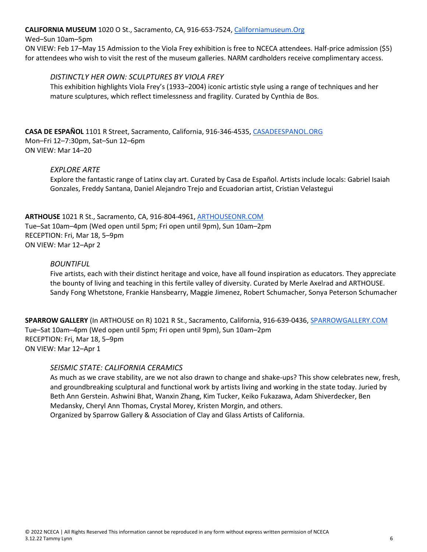### **CALIFORNIA MUSEUM** 1020 O St., Sacramento, CA, 916-653-7524, Californiamuseum.Org

#### Wed–Sun 10am–5pm

ON VIEW: Feb 17–May 15 Admission to the Viola Frey exhibition is free to NCECA attendees. Half-price admission (\$5) for attendees who wish to visit the rest of the museum galleries. NARM cardholders receive complimentary access.

## *DISTINCTLY HER OWN: SCULPTURES BY VIOLA FREY*

This exhibition highlights Viola Frey's (1933–2004) iconic artistic style using a range of techniques and her mature sculptures, which reflect timelessness and fragility. Curated by Cynthia de Bos.

**CASA DE ESPAÑOL** 1101 R Street, Sacramento, California, 916-346-4535, CASADEESPANOL.ORG Mon–Fri 12–7:30pm, Sat–Sun 12–6pm ON VIEW: Mar 14–20

### *EXPLORE ARTE*

Explore the fantastic range of Latinx clay art. Curated by Casa de Español. Artists include locals: Gabriel Isaiah Gonzales, Freddy Santana, Daniel Alejandro Trejo and Ecuadorian artist, Cristian Velastegui

**ARTHOUSE** 1021 R St., Sacramento, CA, 916-804-4961, ARTHOUSEONR.COM Tue–Sat 10am–4pm (Wed open until 5pm; Fri open until 9pm), Sun 10am–2pm RECEPTION: Fri, Mar 18, 5–9pm ON VIEW: Mar 12–Apr 2

### *BOUNTIFUL*

Five artists, each with their distinct heritage and voice, have all found inspiration as educators. They appreciate the bounty of living and teaching in this fertile valley of diversity. Curated by Merle Axelrad and ARTHOUSE. Sandy Fong Whetstone, Frankie Hansbearry, Maggie Jimenez, Robert Schumacher, Sonya Peterson Schumacher

**SPARROW GALLERY** (In ARTHOUSE on R) 1021 R St., Sacramento, California, 916-639-0436, SPARROWGALLERY.COM Tue–Sat 10am–4pm (Wed open until 5pm; Fri open until 9pm), Sun 10am–2pm RECEPTION: Fri, Mar 18, 5–9pm ON VIEW: Mar 12–Apr 1

### *SEISMIC STATE: CALIFORNIA CERAMICS*

As much as we crave stability, are we not also drawn to change and shake-ups? This show celebrates new, fresh, and groundbreaking sculptural and functional work by artists living and working in the state today. Juried by Beth Ann Gerstein. Ashwini Bhat, Wanxin Zhang, Kim Tucker, Keiko Fukazawa, Adam Shiverdecker, Ben Medansky, Cheryl Ann Thomas, Crystal Morey, Kristen Morgin, and others. Organized by Sparrow Gallery & Association of Clay and Glass Artists of California.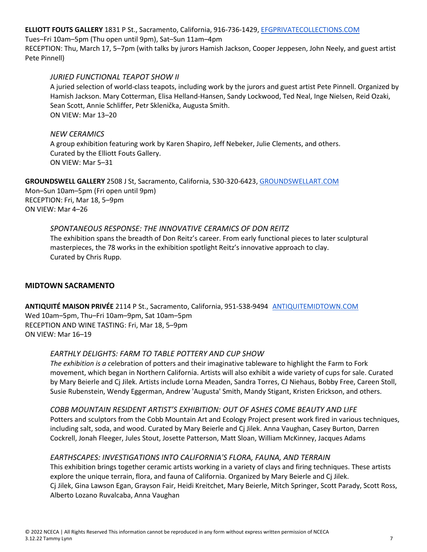**ELLIOTT FOUTS GALLERY** 1831 P St., Sacramento, California, 916-736-1429, EFGPRIVATECOLLECTIONS.COM

Tues–Fri 10am–5pm (Thu open until 9pm), Sat–Sun 11am–4pm

RECEPTION: Thu, March 17, 5–7pm (with talks by jurors Hamish Jackson, Cooper Jeppesen, John Neely, and guest artist Pete Pinnell)

## *JURIED FUNCTIONAL TEAPOT SHOW II*

A juried selection of world-class teapots, including work by the jurors and guest artist Pete Pinnell. Organized by Hamish Jackson. Mary Cotterman, Elisa Helland-Hansen, Sandy Lockwood, Ted Neal, Inge Nielsen, Reid Ozaki, Sean Scott, Annie Schliffer, Petr Sklenička, Augusta Smith. ON VIEW: Mar 13–20

## *NEW CERAMICS*

A group exhibition featuring work by Karen Shapiro, Jeff Nebeker, Julie Clements, and others. Curated by the Elliott Fouts Gallery. ON VIEW: Mar 5–31

**GROUNDSWELL GALLERY** 2508 J St, Sacramento, California, 530-320-6423, GROUNDSWELLART.COM Mon–Sun 10am–5pm (Fri open until 9pm) RECEPTION: Fri, Mar 18, 5–9pm ON VIEW: Mar 4–26

## *SPONTANEOUS RESPONSE: THE INNOVATIVE CERAMICS OF DON REITZ*

The exhibition spans the breadth of Don Reitz's career. From early functional pieces to later sculptural masterpieces, the 78 works in the exhibition spotlight Reitz's innovative approach to clay. Curated by Chris Rupp.

## **MIDTOWN SACRAMENTO**

**ANTIQUITÉ MAISON PRIVÉE** 2114 P St., Sacramento, California, 951-538-9494 ANTIQUITEMIDTOWN.COM Wed 10am–5pm, Thu–Fri 10am–9pm, Sat 10am–5pm RECEPTION AND WINE TASTING: Fri, Mar 18, 5–9pm ON VIEW: Mar 16–19

## *EARTHLY DELIGHTS: FARM TO TABLE POTTERY AND CUP SHOW*

*The exhibition is a c*elebration of potters and their imaginative tableware to highlight the Farm to Fork movement, which began in Northern California. Artists will also exhibit a wide variety of cups for sale. Curated by Mary Beierle and Cj Jilek. Artists include Lorna Meaden, Sandra Torres, CJ Niehaus, Bobby Free, Careen Stoll, Susie Rubenstein, Wendy Eggerman, Andrew 'Augusta' Smith, Mandy Stigant, Kristen Erickson, and others.

*COBB MOUNTAIN RESIDENT ARTIST'S EXHIBITION: OUT OF ASHES COME BEAUTY AND LIFE* Potters and sculptors from the Cobb Mountain Art and Ecology Project present work fired in various techniques, including salt, soda, and wood. Curated by Mary Beierle and Cj Jilek. Anna Vaughan, Casey Burton, Darren Cockrell, Jonah Fleeger, Jules Stout, Josette Patterson, Matt Sloan, William McKinney, Jacques Adams

## *EARTHSCAPES: INVESTIGATIONS INTO CALIFORNIA'S FLORA, FAUNA, AND TERRAIN*

This exhibition brings together ceramic artists working in a variety of clays and firing techniques. These artists explore the unique terrain, flora, and fauna of California. Organized by Mary Beierle and Cj Jilek. Cj Jilek, Gina Lawson Egan, Grayson Fair, Heidi Kreitchet, Mary Beierle, Mitch Springer, Scott Parady, Scott Ross, Alberto Lozano Ruvalcaba, Anna Vaughan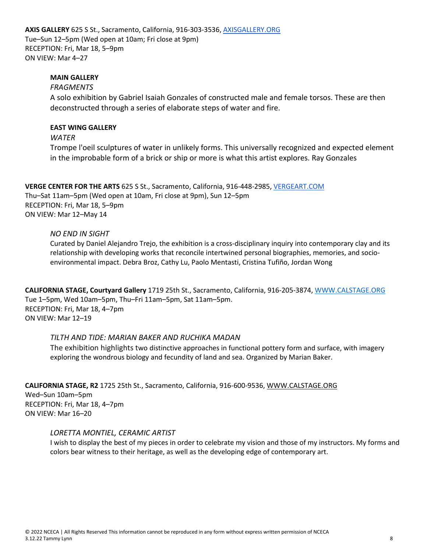**AXIS GALLERY** 625 S St., Sacramento, California, 916-303-3536, AXISGALLERY.ORG Tue–Sun 12–5pm (Wed open at 10am; Fri close at 9pm) RECEPTION: Fri, Mar 18, 5–9pm ON VIEW: Mar 4–27

## **MAIN GALLERY**

### *FRAGMENTS*

A solo exhibition by Gabriel Isaiah Gonzales of constructed male and female torsos. These are then deconstructed through a series of elaborate steps of water and fire.

#### **EAST WING GALLERY**

*WATER*

Trompe l'oeil sculptures of water in unlikely forms. This universally recognized and expected element in the improbable form of a brick or ship or more is what this artist explores. Ray Gonzales

**VERGE CENTER FOR THE ARTS** 625 S St., Sacramento, California, 916-448-2985, VERGEART.COM Thu–Sat 11am–5pm (Wed open at 10am, Fri close at 9pm), Sun 12–5pm RECEPTION: Fri, Mar 18, 5–9pm ON VIEW: Mar 12–May 14

### *NO END IN SIGHT*

Curated by Daniel Alejandro Trejo, the exhibition is a cross-disciplinary inquiry into contemporary clay and its relationship with developing works that reconcile intertwined personal biographies, memories, and socioenvironmental impact. Debra Broz, Cathy Lu, Paolo Mentasti, Cristina Tufiño, Jordan Wong

**CALIFORNIA STAGE, Courtyard Gallery** 1719 25th St., Sacramento, California, 916-205-3874, WWW.CALSTAGE.ORG Tue 1–5pm, Wed 10am–5pm, Thu–Fri 11am–5pm, Sat 11am–5pm. RECEPTION: Fri, Mar 18, 4–7pm ON VIEW: Mar 12–19

### *TILTH AND TIDE: MARIAN BAKER AND RUCHIKA MADAN*

The exhibition highlights two distinctive approaches in functional pottery form and surface, with imagery exploring the wondrous biology and fecundity of land and sea. Organized by Marian Baker.

**CALIFORNIA STAGE, R2** 1725 25th St., Sacramento, California, 916-600-9536, WWW.CALSTAGE.ORG Wed–Sun 10am–5pm RECEPTION: Fri, Mar 18, 4–7pm ON VIEW: Mar 16–20

### *LORETTA MONTIEL, CERAMIC ARTIST*

I wish to display the best of my pieces in order to celebrate my vision and those of my instructors. My forms and colors bear witness to their heritage, as well as the developing edge of contemporary art.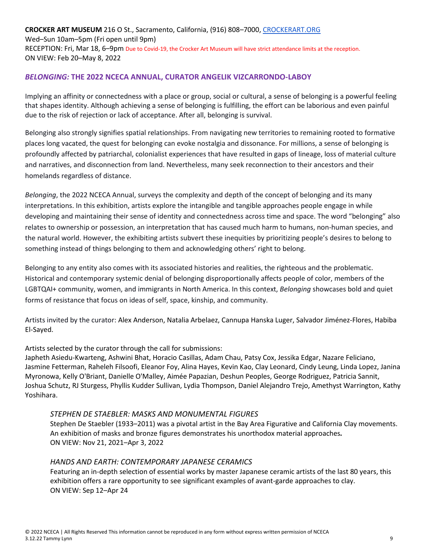**CROCKER ART MUSEUM** 216 O St., Sacramento, California, (916) 808–7000, CROCKERART.ORG Wed–Sun 10am–5pm (Fri open until 9pm) RECEPTION: Fri, Mar 18, 6–9pm Due to Covid-19, the Crocker Art Museum will have strict attendance limits at the reception. ON VIEW: Feb 20–May 8, 2022

## *BELONGING:* **THE 2022 NCECA ANNUAL, CURATOR ANGELIK VIZCARRONDO-LABOY**

Implying an affinity or connectedness with a place or group, social or cultural, a sense of belonging is a powerful feeling that shapes identity. Although achieving a sense of belonging is fulfilling, the effort can be laborious and even painful due to the risk of rejection or lack of acceptance. After all, belonging is survival.

Belonging also strongly signifies spatial relationships. From navigating new territories to remaining rooted to formative places long vacated, the quest for belonging can evoke nostalgia and dissonance. For millions, a sense of belonging is profoundly affected by patriarchal, colonialist experiences that have resulted in gaps of lineage, loss of material culture and narratives, and disconnection from land. Nevertheless, many seek reconnection to their ancestors and their homelands regardless of distance.

*Belonging*, the 2022 NCECA Annual, surveys the complexity and depth of the concept of belonging and its many interpretations. In this exhibition, artists explore the intangible and tangible approaches people engage in while developing and maintaining their sense of identity and connectedness across time and space. The word "belonging" also relates to ownership or possession, an interpretation that has caused much harm to humans, non-human species, and the natural world. However, the exhibiting artists subvert these inequities by prioritizing people's desires to belong to something instead of things belonging to them and acknowledging others' right to belong.

Belonging to any entity also comes with its associated histories and realities, the righteous and the problematic. Historical and contemporary systemic denial of belonging disproportionally affects people of color, members of the LGBTQAI+ community, women, and immigrants in North America. In this context, *Belonging* showcases bold and quiet forms of resistance that focus on ideas of self, space, kinship, and community.

Artists invited by the curator: Alex Anderson, Natalia Arbelaez, Cannupa Hanska Luger, Salvador Jiménez-Flores, Habiba El-Sayed.

### Artists selected by the curator through the call for submissions:

Japheth Asiedu-Kwarteng, Ashwini Bhat, Horacio Casillas, Adam Chau, Patsy Cox, Jessika Edgar, Nazare Feliciano, Jasmine Fetterman, Raheleh Filsoofi, Eleanor Foy, Alina Hayes, Kevin Kao, Clay Leonard, Cindy Leung, Linda Lopez, Janina Myronowa, Kelly O'Briant, Danielle O'Malley, Aimée Papazian, Deshun Peoples, George Rodriguez, Patricia Sannit, Joshua Schutz, RJ Sturgess, Phyllis Kudder Sullivan, Lydia Thompson, Daniel Alejandro Trejo, Amethyst Warrington, Kathy Yoshihara.

### *STEPHEN DE STAEBLER: MASKS AND MONUMENTAL FIGURES*

Stephen De Staebler (1933–2011) was a pivotal artist in the Bay Area Figurative and California Clay movements. An exhibition of masks and bronze figures demonstrates his unorthodox material approaches*.* ON VIEW: Nov 21, 2021–Apr 3, 2022

### *HANDS AND EARTH: CONTEMPORARY JAPANESE CERAMICS*

Featuring an in-depth selection of essential works by master Japanese ceramic artists of the last 80 years, this exhibition offers a rare opportunity to see significant examples of avant-garde approaches to clay. ON VIEW: Sep 12–Apr 24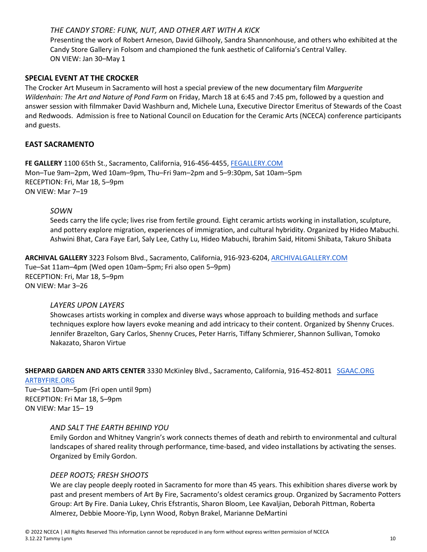## *THE CANDY STORE: FUNK, NUT, AND OTHER ART WITH A KICK*

Presenting the work of Robert Arneson, David Gilhooly, Sandra Shannonhouse, and others who exhibited at the Candy Store Gallery in Folsom and championed the funk aesthetic of California's Central Valley. ON VIEW: Jan 30–May 1

### **SPECIAL EVENT AT THE CROCKER**

The Crocker Art Museum in Sacramento will host a special preview of the new documentary film *Marguerite Wildenhain: The Art and Nature of Pond Farm* on Friday, March 18 at 6:45 and 7:45 pm, followed by a question and answer session with filmmaker David Washburn and, Michele Luna, Executive Director Emeritus of Stewards of the Coast and Redwoods. Admission is free to National Council on Education for the Ceramic Arts (NCECA) conference participants and guests.

## **EAST SACRAMENTO**

**FE GALLERY** 1100 65th St., Sacramento, California, 916-456-4455, FEGALLERY.COM Mon–Tue 9am–2pm, Wed 10am–9pm, Thu–Fri 9am–2pm and 5–9:30pm, Sat 10am–5pm RECEPTION: Fri, Mar 18, 5–9pm ON VIEW: Mar 7–19

#### *SOWN*

Seeds carry the life cycle; lives rise from fertile ground. Eight ceramic artists working in installation, sculpture, and pottery explore migration, experiences of immigration, and cultural hybridity. Organized by Hideo Mabuchi. Ashwini Bhat, Cara Faye Earl, Saly Lee, Cathy Lu, Hideo Mabuchi, Ibrahim Said, Hitomi Shibata, Takuro Shibata

**ARCHIVAL GALLERY** 3223 Folsom Blvd., Sacramento, California, 916-923-6204, ARCHIVALGALLERY.COM Tue–Sat 11am–4pm (Wed open 10am–5pm; Fri also open 5–9pm) RECEPTION: Fri, Mar 18, 5–9pm ON VIEW: Mar 3–26

#### *LAYERS UPON LAYERS*

Showcases artists working in complex and diverse ways whose approach to building methods and surface techniques explore how layers evoke meaning and add intricacy to their content. Organized by Shenny Cruces. Jennifer Brazelton, Gary Carlos, Shenny Cruces, Peter Harris, Tiffany Schmierer, Shannon Sullivan, Tomoko Nakazato, Sharon Virtue

# **SHEPARD GARDEN AND ARTS CENTER** 3330 McKinley Blvd., Sacramento, California, 916-452-8011 SGAAC.ORG

#### ARTBYFIRE.ORG

Tue–Sat 10am–5pm (Fri open until 9pm) RECEPTION: Fri Mar 18, 5–9pm ON VIEW: Mar 15– 19

### *AND SALT THE EARTH BEHIND YOU*

Emily Gordon and Whitney Vangrin's work connects themes of death and rebirth to environmental and cultural landscapes of shared reality through performance, time-based, and video installations by activating the senses. Organized by Emily Gordon.

#### *DEEP ROOTS; FRESH SHOOTS*

We are clay people deeply rooted in Sacramento for more than 45 years. This exhibition shares diverse work by past and present members of Art By Fire, Sacramento's oldest ceramics group. Organized by Sacramento Potters Group: Art By Fire. Dania Lukey, Chris Efstrantis, Sharon Bloom, Lee Kavaljian, Deborah Pittman, Roberta Almerez, Debbie Moore-Yip, Lynn Wood, Robyn Brakel, Marianne DeMartini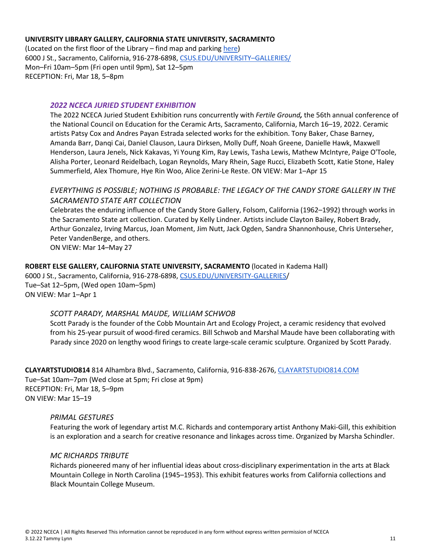#### **UNIVERSITY LIBRARY GALLERY, CALIFORNIA STATE UNIVERSITY, SACRAMENTO**

(Located on the first floor of the Library – find map and parking here) 6000 J St., Sacramento, California, 916-278-6898, CSUS.EDU/UNIVERSITY–GALLERIES/ Mon–Fri 10am–5pm (Fri open until 9pm), Sat 12–5pm RECEPTION: Fri, Mar 18, 5–8pm

#### *2022 NCECA JURIED STUDENT EXHIBITION*

The 2022 NCECA Juried Student Exhibition runs concurrently with *Fertile Ground,* the 56th annual conference of the National Council on Education for the Ceramic Arts, Sacramento, California, March 16–19, 2022. Ceramic artists Patsy Cox and Andres Payan Estrada selected works for the exhibition. Tony Baker, Chase Barney, Amanda Barr, Danqi Cai, Daniel Clauson, Laura Dirksen, Molly Duff, Noah Greene, Danielle Hawk, Maxwell Henderson, Laura Jenels, Nick Kakavas, Yi Young Kim, Ray Lewis, Tasha Lewis, Mathew McIntyre, Paige O'Toole, Alisha Porter, Leonard Reidelbach, Logan Reynolds, Mary Rhein, Sage Rucci, Elizabeth Scott, Katie Stone, Haley Summerfield, Alex Thomure, Hye Rin Woo, Alice Zerini-Le Reste. ON VIEW: Mar 1–Apr 15

## *EVERYTHING IS POSSIBLE; NOTHING IS PROBABLE: THE LEGACY OF THE CANDY STORE GALLERY IN THE SACRAMENTO STATE ART COLLECTION*

Celebrates the enduring influence of the Candy Store Gallery, Folsom, California (1962–1992) through works in the Sacramento State art collection. Curated by Kelly Lindner. Artists include Clayton Bailey, Robert Brady, Arthur Gonzalez, Irving Marcus, Joan Moment, Jim Nutt, Jack Ogden, Sandra Shannonhouse, Chris Unterseher, Peter VandenBerge, and others. ON VIEW: Mar 14–May 27

### **ROBERT ELSE GALLERY, CALIFORNIA STATE UNIVERSITY, SACRAMENTO** (located in Kadema Hall)

6000 J St., Sacramento, California, 916-278-6898, CSUS.EDU/UNIVERSITY-GALLERIES/ Tue–Sat 12–5pm, (Wed open 10am–5pm) ON VIEW: Mar 1–Apr 1

### *SCOTT PARADY, MARSHAL MAUDE, WILLIAM SCHWOB*

Scott Parady is the founder of the Cobb Mountain Art and Ecology Project, a ceramic residency that evolved from his 25-year pursuit of wood-fired ceramics. Bill Schwob and Marshal Maude have been collaborating with Parady since 2020 on lengthy wood firings to create large-scale ceramic sculpture. Organized by Scott Parady.

**CLAYARTSTUDIO814** 814 Alhambra Blvd., Sacramento, California, 916-838-2676, CLAYARTSTUDIO814.COM Tue–Sat 10am–7pm (Wed close at 5pm; Fri close at 9pm) RECEPTION: Fri, Mar 18, 5–9pm ON VIEW: Mar 15–19

#### *PRIMAL GESTURES*

Featuring the work of legendary artist M.C. Richards and contemporary artist Anthony Maki-Gill, this exhibition is an exploration and a search for creative resonance and linkages across time. Organized by Marsha Schindler.

#### *MC RICHARDS TRIBUTE*

Richards pioneered many of her influential ideas about cross-disciplinary experimentation in the arts at Black Mountain College in North Carolina (1945–1953). This exhibit features works from California collections and Black Mountain College Museum.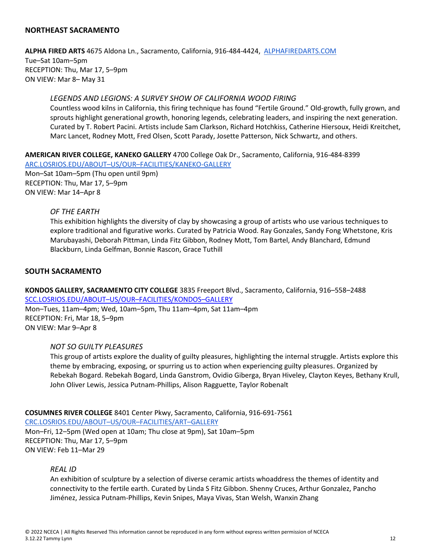## **NORTHEAST SACRAMENTO**

**ALPHA FIRED ARTS** 4675 Aldona Ln., Sacramento, California, 916-484-4424, ALPHAFIREDARTS.COM Tue–Sat 10am–5pm RECEPTION: Thu, Mar 17, 5–9pm ON VIEW: Mar 8– May 31

#### *LEGENDS AND LEGIONS: A SURVEY SHOW OF CALIFORNIA WOOD FIRING*

Countless wood kilns in California, this firing technique has found "Fertile Ground." Old-growth, fully grown, and sprouts highlight generational growth, honoring legends, celebrating leaders, and inspiring the next generation. Curated by T. Robert Pacini. Artists include Sam Clarkson, Richard Hotchkiss, Catherine Hiersoux, Heidi Kreitchet, Marc Lancet, Rodney Mott, Fred Olsen, Scott Parady, Josette Patterson, Nick Schwartz, and others.

**AMERICAN RIVER COLLEGE, KANEKO GALLERY** 4700 College Oak Dr., Sacramento, California, 916-484-8399

ARC.LOSRIOS.EDU/ABOUT–US/OUR–FACILITIES/KANEKO-GALLERY Mon–Sat 10am–5pm (Thu open until 9pm)

RECEPTION: Thu, Mar 17, 5–9pm ON VIEW: Mar 14–Apr 8

#### *OF THE EARTH*

This exhibition highlights the diversity of clay by showcasing a group of artists who use various techniques to explore traditional and figurative works. Curated by Patricia Wood. Ray Gonzales, Sandy Fong Whetstone, Kris Marubayashi, Deborah Pittman, Linda Fitz Gibbon, Rodney Mott, Tom Bartel, Andy Blanchard, Edmund Blackburn, Linda Gelfman, Bonnie Rascon, Grace Tuthill

#### **SOUTH SACRAMENTO**

**KONDOS GALLERY, SACRAMENTO CITY COLLEGE** 3835 Freeport Blvd., Sacramento, California, 916–558–2488 SCC.LOSRIOS.EDU/ABOUT–US/OUR–FACILITIES/KONDOS–GALLERY Mon–Tues, 11am–4pm; Wed, 10am–5pm, Thu 11am–4pm, Sat 11am–4pm RECEPTION: Fri, Mar 18, 5–9pm ON VIEW: Mar 9–Apr 8

#### *NOT SO GUILTY PLEASURES*

This group of artists explore the duality of guilty pleasures, highlighting the internal struggle. Artists explore this theme by embracing, exposing, or spurring us to action when experiencing guilty pleasures. Organized by Rebekah Bogard. Rebekah Bogard, Linda Ganstrom, Ovidio Giberga, Bryan Hiveley, Clayton Keyes, Bethany Krull, John Oliver Lewis, Jessica Putnam-Phillips, Alison Ragguette, Taylor Robenalt

**COSUMNES RIVER COLLEGE** 8401 Center Pkwy, Sacramento, California, 916-691-7561 CRC.LOSRIOS.EDU/ABOUT–US/OUR–FACILITIES/ART–GALLERY Mon–Fri, 12–5pm (Wed open at 10am; Thu close at 9pm), Sat 10am–5pm RECEPTION: Thu, Mar 17, 5–9pm ON VIEW: Feb 11–Mar 29

#### *REAL ID*

An exhibition of sculpture by a selection of diverse ceramic artists whoaddress the themes of identity and connectivity to the fertile earth. Curated by Linda S Fitz Gibbon. Shenny Cruces, Arthur Gonzalez, Pancho Jiménez, Jessica Putnam-Phillips, Kevin Snipes, Maya Vivas, Stan Welsh, Wanxin Zhang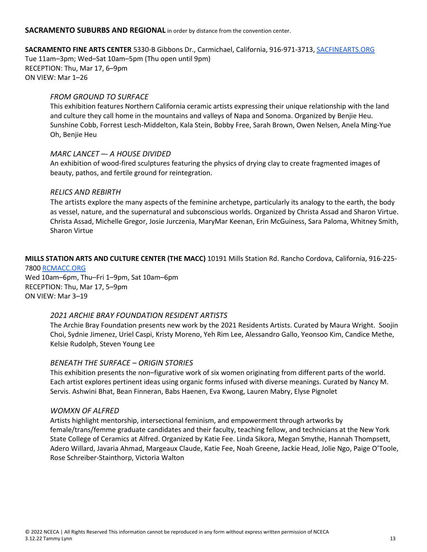#### **SACRAMENTO SUBURBS AND REGIONAL** in order by distance from the convention center.

## **SACRAMENTO FINE ARTS CENTER** 5330-B Gibbons Dr., Carmichael, California, 916-971-3713, SACFINEARTS.ORG

Tue 11am–3pm; Wed–Sat 10am–5pm (Thu open until 9pm) RECEPTION: Thu, Mar 17, 6–9pm ON VIEW: Mar 1–26

## *FROM GROUND TO SURFACE*

This exhibition features Northern California ceramic artists expressing their unique relationship with the land and culture they call home in the mountains and valleys of Napa and Sonoma. Organized by Benjie Heu. Sunshine Cobb, Forrest Lesch-Middelton, Kala Stein, Bobby Free, Sarah Brown, Owen Nelsen, Anela Ming-Yue Oh, Benjie Heu

## *MARC LANCET –- A HOUSE DIVIDED*

An exhibition of wood-fired sculptures featuring the physics of drying clay to create fragmented images of beauty, pathos, and fertile ground for reintegration.

## *RELICS AND REBIRTH*

The artists explore the many aspects of the feminine archetype, particularly its analogy to the earth, the body as vessel, nature, and the supernatural and subconscious worlds. Organized by Christa Assad and Sharon Virtue. Christa Assad, Michelle Gregor, Josie Jurczenia, MaryMar Keenan, Erin McGuiness, Sara Paloma, Whitney Smith, Sharon Virtue

## **MILLS STATION ARTS AND CULTURE CENTER (THE MACC)** 10191 Mills Station Rd. Rancho Cordova, California, 916-225-

7800 RCMACC.ORG Wed 10am–6pm, Thu–Fri 1–9pm, Sat 10am–6pm RECEPTION: Thu, Mar 17, 5–9pm ON VIEW: Mar 3–19

### *2021 ARCHIE BRAY FOUNDATION RESIDENT ARTISTS*

The Archie Bray Foundation presents new work by the 2021 Residents Artists. Curated by Maura Wright. Soojin Choi, Sydnie Jimenez, Uriel Caspi, Kristy Moreno, Yeh Rim Lee, Alessandro Gallo, Yeonsoo Kim, Candice Methe, Kelsie Rudolph, Steven Young Lee

### *BENEATH THE SURFACE – ORIGIN STORIES*

This exhibition presents the non–figurative work of six women originating from different parts of the world. Each artist explores pertinent ideas using organic forms infused with diverse meanings. Curated by Nancy M. Servis. Ashwini Bhat, Bean Finneran, Babs Haenen, Eva Kwong, Lauren Mabry, Elyse Pignolet

### *WOMXN OF ALFRED*

Artists highlight mentorship, intersectional feminism, and empowerment through artworks by female/trans/femme graduate candidates and their faculty, teaching fellow, and technicians at the New York State College of Ceramics at Alfred. Organized by Katie Fee. Linda Sikora, Megan Smythe, Hannah Thompsett, Adero Willard, Javaria Ahmad, Margeaux Claude, Katie Fee, Noah Greene, Jackie Head, Jolie Ngo, Paige O'Toole, Rose Schreiber-Stainthorp, Victoria Walton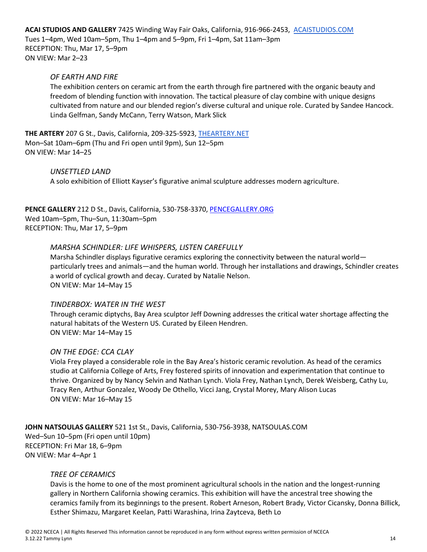**ACAI STUDIOS AND GALLERY** 7425 Winding Way Fair Oaks, California, 916-966-2453, ACAISTUDIOS.COM Tues 1–4pm, Wed 10am–5pm, Thu 1–4pm and 5–9pm, Fri 1–4pm, Sat 11am–3pm RECEPTION: Thu, Mar 17, 5–9pm ON VIEW: Mar 2–23

### *OF EARTH AND FIRE*

The exhibition *c*enters on ceramic art from the earth through fire partnered with the organic beauty and freedom of blending function with innovation. The tactical pleasure of clay combine with unique designs cultivated from nature and our blended region's diverse cultural and unique role. Curated by Sandee Hancock. Linda Gelfman, Sandy McCann, Terry Watson, Mark Slick

**THE ARTERY** 207 G St., Davis, California, 209-325-5923, THEARTERY.NET Mon–Sat 10am–6pm (Thu and Fri open until 9pm), Sun 12–5pm ON VIEW: Mar 14–25

#### *UNSETTLED LAND*

A solo exhibition of Elliott Kayser's figurative animal sculpture addresses modern agriculture.

**PENCE GALLERY** 212 D St., Davis, California, 530-758-3370, PENCEGALLERY.ORG Wed 10am–5pm, Thu–Sun, 11:30am–5pm RECEPTION: Thu, Mar 17, 5–9pm

#### *MARSHA SCHINDLER: LIFE WHISPERS, LISTEN CAREFULLY*

Marsha Schindler displays figurative ceramics exploring the connectivity between the natural world particularly trees and animals—and the human world. Through her installations and drawings, Schindler creates a world of cyclical growth and decay. Curated by Natalie Nelson. ON VIEW: Mar 14–May 15

## *TINDERBOX: WATER IN THE WEST*

Through ceramic diptychs, Bay Area sculptor Jeff Downing addresses the critical water shortage affecting the natural habitats of the Western US. Curated by Eileen Hendren. ON VIEW: Mar 14–May 15

#### *ON THE EDGE: CCA CLAY*

Viola Frey played a considerable role in the Bay Area's historic ceramic revolution. As head of the ceramics studio at California College of Arts, Frey fostered spirits of innovation and experimentation that continue to thrive. Organized by by Nancy Selvin and Nathan Lynch. Viola Frey, Nathan Lynch, Derek Weisberg, Cathy Lu, Tracy Ren, Arthur Gonzalez, Woody De Othello, Vicci Jang, Crystal Morey, Mary Alison Lucas ON VIEW: Mar 16–May 15

**JOHN NATSOULAS GALLERY** 521 1st St., Davis, California, 530-756-3938, NATSOULAS.COM Wed–Sun 10–5pm (Fri open until 10pm) RECEPTION: Fri Mar 18, 6–9pm ON VIEW: Mar 4–Apr 1

#### *TREE OF CERAMICS*

Davis is the home to one of the most prominent agricultural schools in the nation and the longest-running gallery in Northern California showing ceramics. This exhibition will have the ancestral tree showing the ceramics family from its beginnings to the present. Robert Arneson, Robert Brady, Victor Cicansky, Donna Billick, Esther Shimazu, Margaret Keelan, Patti Warashina, Irina Zaytceva, Beth Lo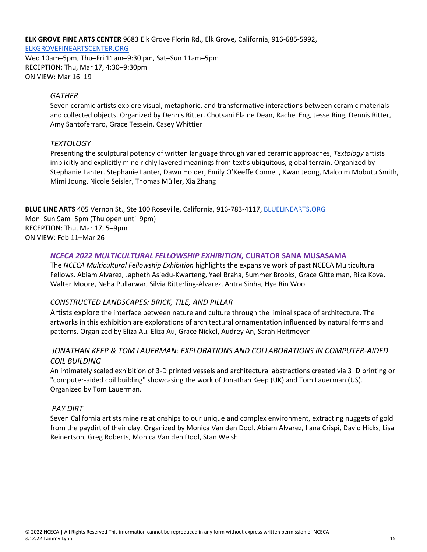**ELK GROVE FINE ARTS CENTER** 9683 Elk Grove Florin Rd., Elk Grove, California, 916-685-5992,

#### ELKGROVEFINEARTSCENTER.ORG

Wed 10am–5pm, Thu–Fri 11am–9:30 pm, Sat–Sun 11am–5pm RECEPTION: Thu, Mar 17, 4:30–9:30pm ON VIEW: Mar 16–19

## *GATHER*

Seven ceramic artists explore visual, metaphoric, and transformative interactions between ceramic materials and collected objects. Organized by Dennis Ritter. Chotsani Elaine Dean, Rachel Eng, Jesse Ring, Dennis Ritter, Amy Santoferraro, Grace Tessein, Casey Whittier

## *TEXTOLOGY*

Presenting the sculptural potency of written language through varied ceramic approaches, *Textology* artists implicitly and explicitly mine richly layered meanings from text's ubiquitous, global terrain. Organized by Stephanie Lanter. Stephanie Lanter, Dawn Holder, Emily O'Keeffe Connell, Kwan Jeong, Malcolm Mobutu Smith, Mimi Joung, Nicole Seisler, Thomas Müller, Xia Zhang

**BLUE LINE ARTS** 405 Vernon St., Ste 100 Roseville, California, 916-783-4117, BLUELINEARTS.ORG Mon–Sun 9am–5pm (Thu open until 9pm) RECEPTION: Thu, Mar 17, 5–9pm ON VIEW: Feb 11–Mar 26

## *NCECA 2022 MULTICULTURAL FELLOWSHIP EXHIBITION,* **CURATOR SANA MUSASAMA**

The *NCECA Multicultural Fellowship Exhibition* highlights the expansive work of past NCECA Multicultural Fellows. Abiam Alvarez, Japheth Asiedu-Kwarteng, Yael Braha, Summer Brooks, Grace Gittelman, Rika Kova, Walter Moore, Neha Pullarwar, Silvia Ritterling-Alvarez, Antra Sinha, Hye Rin Woo

## *CONSTRUCTED LANDSCAPES: BRICK, TILE, AND PILLAR*

Artists explore the interface between nature and culture through the liminal space of architecture. The artworks in this exhibition are explorations of architectural ornamentation influenced by natural forms and patterns. Organized by Eliza Au. Eliza Au, Grace Nickel, Audrey An, Sarah Heitmeyer

# *JONATHAN KEEP & TOM LAUERMAN: EXPLORATIONS AND COLLABORATIONS IN COMPUTER-AIDED COIL BUILDING*

An intimately scaled exhibition of 3-D printed vessels and architectural abstractions created via 3–D printing or "computer-aided coil building" showcasing the work of Jonathan Keep (UK) and Tom Lauerman (US). Organized by Tom Lauerman.

### *PAY DIRT*

Seven California artists mine relationships to our unique and complex environment, extracting nuggets of gold from the paydirt of their clay. Organized by Monica Van den Dool. Abiam Alvarez, Ilana Crispi, David Hicks, Lisa Reinertson, Greg Roberts, Monica Van den Dool, Stan Welsh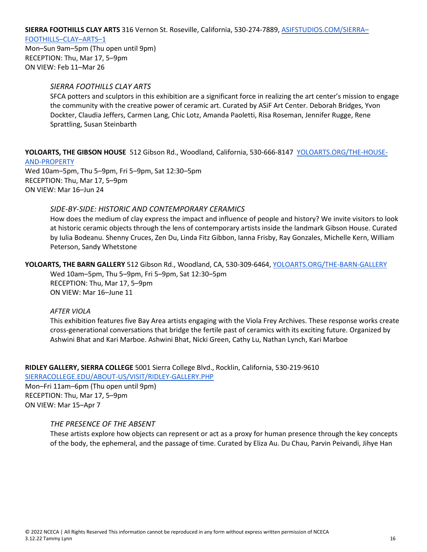**SIERRA FOOTHILLS CLAY ARTS** 316 Vernon St. Roseville, California, 530-274-7889, ASIFSTUDIOS.COM/SIERRA–

#### FOOTHILLS–CLAY–ARTS–1

Mon–Sun 9am–5pm (Thu open until 9pm) RECEPTION: Thu, Mar 17, 5–9pm ON VIEW: Feb 11–Mar 26

#### *SIERRA FOOTHILLS CLAY ARTS*

SFCA potters and sculptors in this exhibition are a significant force in realizing the art center's mission to engage the community with the creative power of ceramic art. Curated by ASiF Art Center. Deborah Bridges, Yvon Dockter, Claudia Jeffers, Carmen Lang, Chic Lotz, Amanda Paoletti, Risa Roseman, Jennifer Rugge, Rene Sprattling, Susan Steinbarth

**YOLOARTS, THE GIBSON HOUSE** 512 Gibson Rd., Woodland, California, 530-666-8147YOLOARTS.ORG/THE-HOUSE-AND-PROPERTY

Wed 10am–5pm, Thu 5–9pm, Fri 5–9pm, Sat 12:30–5pm RECEPTION: Thu, Mar 17, 5–9pm ON VIEW: Mar 16–Jun 24

#### *SIDE-BY-SIDE: HISTORIC AND CONTEMPORARY CERAMICS*

How does the medium of clay express the impact and influence of people and history? We invite visitors to look at historic ceramic objects through the lens of contemporary artists inside the landmark Gibson House. Curated by Iulia Bodeanu. Shenny Cruces, Zen Du, Linda Fitz Gibbon, Ianna Frisby, Ray Gonzales, Michelle Kern, William Peterson, Sandy Whetstone

## **YOLOARTS, THE BARN GALLERY** 512 Gibson Rd., Woodland, CA, 530-309-6464, YOLOARTS.ORG/THE-BARN-GALLERY

Wed 10am–5pm, Thu 5–9pm, Fri 5–9pm, Sat 12:30–5pm RECEPTION: Thu, Mar 17, 5–9pm ON VIEW: Mar 16–June 11

#### *AFTER VIOLA*

This exhibition features five Bay Area artists engaging with the Viola Frey Archives. These response works create cross-generational conversations that bridge the fertile past of ceramics with its exciting future. Organized by Ashwini Bhat and Kari Marboe. Ashwini Bhat, Nicki Green, Cathy Lu, Nathan Lynch, Kari Marboe

**RIDLEY GALLERY, SIERRA COLLEGE** 5001 Sierra College Blvd., Rocklin, California, 530-219-9610

SIERRACOLLEGE.EDU/ABOUT-US/VISIT/RIDLEY-GALLERY.PHP

Mon–Fri 11am–6pm (Thu open until 9pm) RECEPTION: Thu, Mar 17, 5–9pm ON VIEW: Mar 15–Apr 7

### *THE PRESENCE OF THE ABSENT*

These artists explore how objects can represent or act as a proxy for human presence through the key concepts of the body, the ephemeral, and the passage of time. Curated by Eliza Au. Du Chau, Parvin Peivandi, Jihye Han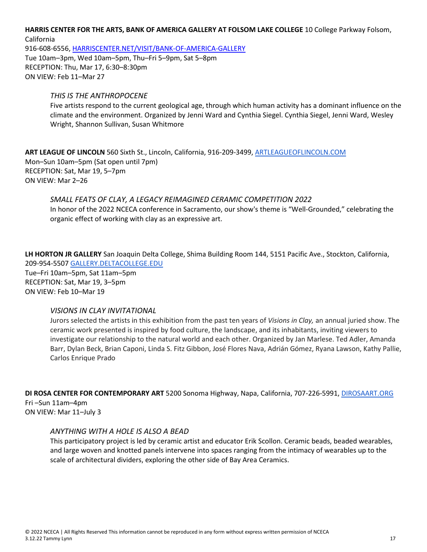## **HARRIS CENTER FOR THE ARTS, BANK OF AMERICA GALLERY AT FOLSOM LAKE COLLEGE** 10 College Parkway Folsom,

California 916-608-6556, HARRISCENTER.NET/VISIT/BANK-OF-AMERICA-GALLERY Tue 10am–3pm, Wed 10am–5pm, Thu–Fri 5–9pm, Sat 5–8pm RECEPTION: Thu, Mar 17, 6:30–8:30pm ON VIEW: Feb 11–Mar 27

## *THIS IS THE ANTHROPOCENE*

Five artists respond to the current geological age, through which human activity has a dominant influence on the climate and the environment. Organized by Jenni Ward and Cynthia Siegel. Cynthia Siegel, Jenni Ward, Wesley Wright, Shannon Sullivan, Susan Whitmore

**ART LEAGUE OF LINCOLN** 560 Sixth St., Lincoln, California, 916-209-3499, ARTLEAGUEOFLINCOLN.COM Mon–Sun 10am–5pm (Sat open until 7pm) RECEPTION: Sat, Mar 19, 5–7pm ON VIEW: Mar 2–26

*SMALL FEATS OF CLAY, A LEGACY REIMAGINED CERAMIC COMPETITION 2022* In honor of the 2022 NCECA conference in Sacramento, our show's theme is "Well-Grounded," celebrating the organic effect of working with clay as an expressive art.

**LH HORTON JR GALLERY** San Joaquin Delta College, Shima Building Room 144, 5151 Pacific Ave., Stockton, California, 209-954-5507 GALLERY.DELTACOLLEGE.EDU Tue–Fri 10am–5pm, Sat 11am–5pm RECEPTION: Sat, Mar 19, 3–5pm ON VIEW: Feb 10–Mar 19

### *VISIONS IN CLAY INVITATIONAL*

Jurors selected the artists in this exhibition from the past ten years of *Visions in Clay,* an annual juried show. The ceramic work presented is inspired by food culture, the landscape, and its inhabitants, inviting viewers to investigate our relationship to the natural world and each other. Organized by Jan Marlese. Ted Adler, Amanda Barr, Dylan Beck, Brian Caponi, Linda S. Fitz Gibbon, José Flores Nava, Adrián Gómez, Ryana Lawson, Kathy Pallie, Carlos Enrique Prado

**DI ROSA CENTER FOR CONTEMPORARY ART** 5200 Sonoma Highway, Napa, California, 707-226-5991, DIROSAART.ORG Fri –Sun 11am–4pm

ON VIEW: Mar 11–July 3

### *ANYTHING WITH A HOLE IS ALSO A BEAD*

This participatory project is led by ceramic artist and educator Erik Scollon. Ceramic beads, beaded wearables, and large woven and knotted panels intervene into spaces ranging from the intimacy of wearables up to the scale of architectural dividers, exploring the other side of Bay Area Ceramics.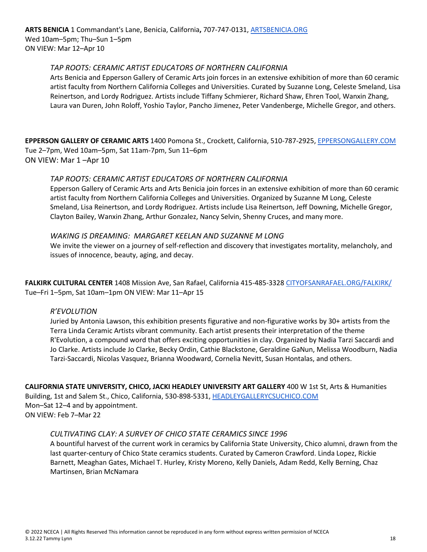**ARTS BENICIA** 1 Commandant's Lane, Benicia, California**,** 707-747-0131, ARTSBENICIA.ORG Wed 10am–5pm; Thu–Sun 1–5pm ON VIEW: Mar 12–Apr 10

## *TAP ROOTS: CERAMIC ARTIST EDUCATORS OF NORTHERN CALIFORNIA*

Arts Benicia and Epperson Gallery of Ceramic Arts join forces in an extensive exhibition of more than 60 ceramic artist faculty from Northern California Colleges and Universities. Curated by Suzanne Long, Celeste Smeland, Lisa Reinertson, and Lordy Rodriguez. Artists include Tiffany Schmierer, Richard Shaw, Ehren Tool, Wanxin Zhang, Laura van Duren, John Roloff, Yoshio Taylor, Pancho Jimenez, Peter Vandenberge, Michelle Gregor, and others.

**EPPERSON GALLERY OF CERAMIC ARTS** 1400 Pomona St., Crockett, California, 510-787-2925, EPPERSONGALLERY.COM Tue 2–7pm, Wed 10am–5pm, Sat 11am-7pm, Sun 11–6pm ON VIEW: Mar 1 –Apr 10

## *TAP ROOTS: CERAMIC ARTIST EDUCATORS OF NORTHERN CALIFORNIA*

Epperson Gallery of Ceramic Arts and Arts Benicia join forces in an extensive exhibition of more than 60 ceramic artist faculty from Northern California Colleges and Universities. Organized by Suzanne M Long, Celeste Smeland, Lisa Reinertson, and Lordy Rodriguez. Artists include Lisa Reinertson, Jeff Downing, Michelle Gregor, Clayton Bailey, Wanxin Zhang, Arthur Gonzalez, Nancy Selvin, Shenny Cruces, and many more.

### *WAKING IS DREAMING: MARGARET KEELAN AND SUZANNE M LONG*

We invite the viewer on a journey of self-reflection and discovery that investigates mortality, melancholy, and issues of innocence, beauty, aging, and decay.

**FALKIRK CULTURAL CENTER** 1408 Mission Ave, San Rafael, California 415-485-3328 CITYOFSANRAFAEL.ORG/FALKIRK/ Tue–Fri 1–5pm, Sat 10am–1pm ON VIEW: Mar 11–Apr 15

### *R'EVOLUTION*

Juried by Antonia Lawson, this exhibition presents figurative and non-figurative works by 30+ artists from the Terra Linda Ceramic Artists vibrant community. Each artist presents their interpretation of the theme R'Evolution, a compound word that offers exciting opportunities in clay. Organized by Nadia Tarzi Saccardi and Jo Clarke. Artists include Jo Clarke, Becky Ordin, Cathie Blackstone, Geraldine GaNun, Melissa Woodburn, Nadia Tarzi-Saccardi, Nicolas Vasquez, Brianna Woodward, Cornelia Nevitt, Susan Hontalas, and others.

**CALIFORNIA STATE UNIVERSITY, CHICO, JACKI HEADLEY UNIVERSITY ART GALLERY** 400 W 1st St, Arts & Humanities Building, 1st and Salem St., Chico, California, 530-898-5331, HEADLEYGALLERYCSUCHICO.COM Mon–Sat 12–4 and by appointment. ON VIEW: Feb 7–Mar 22

### *CULTIVATING CLAY: A SURVEY OF CHICO STATE CERAMICS SINCE 1996*

A bountiful harvest of the current work in ceramics by California State University, Chico alumni, drawn from the last quarter-century of Chico State ceramics students. Curated by Cameron Crawford. Linda Lopez, Rickie Barnett, Meaghan Gates, Michael T. Hurley, Kristy Moreno, Kelly Daniels, Adam Redd, Kelly Berning, Chaz Martinsen, Brian McNamara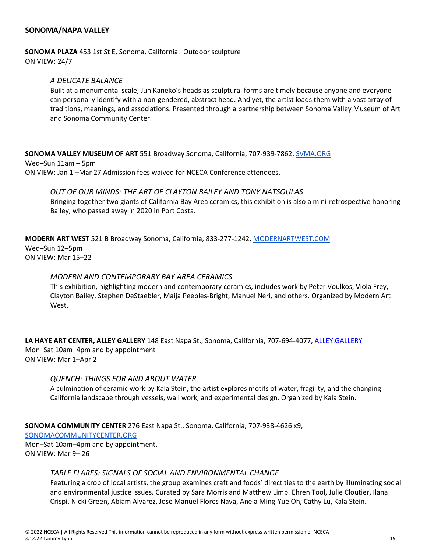## **SONOMA/NAPA VALLEY**

#### **SONOMA PLAZA** 453 1st St E, Sonoma, California. Outdoor sculpture ON VIEW: 24/7

### *A DELICATE BALANCE*

Built at a monumental scale, Jun Kaneko's heads as sculptural forms are timely because anyone and everyone can personally identify with a non-gendered, abstract head. And yet, the artist loads them with a vast array of traditions, meanings, and associations. Presented through a partnership between Sonoma Valley Museum of Art and Sonoma Community Center.

**SONOMA VALLEY MUSEUM OF ART** 551 Broadway Sonoma, California, 707-939-7862, SVMA.ORG Wed–Sun 11am – 5pm ON VIEW: Jan 1 –Mar 27 Admission fees waived for NCECA Conference attendees.

*OUT OF OUR MINDS: THE ART OF CLAYTON BAILEY AND TONY NATSOULAS* Bringing together two giants of California Bay Area ceramics, this exhibition is also a mini-retrospective honoring Bailey, who passed away in 2020 in Port Costa.

**MODERN ART WEST** 521 B Broadway Sonoma, California, 833-277-1242, MODERNARTWEST.COM Wed–Sun 12–5pm ON VIEW: Mar 15–22

#### *MODERN AND CONTEMPORARY BAY AREA CERAMICS*

This exhibition, highlighting modern and contemporary ceramics, includes work by Peter Voulkos, Viola Frey, Clayton Bailey, Stephen DeStaebler, Maija Peeples-Bright, Manuel Neri, and others. Organized by Modern Art West.

**LA HAYE ART CENTER, ALLEY GALLERY** 148 East Napa St., Sonoma, California, 707-694-4077, ALLEY.GALLERY Mon–Sat 10am–4pm and by appointment ON VIEW: Mar 1–Apr 2

#### *QUENCH: THINGS FOR AND ABOUT WATER*

A culmination of ceramic work by Kala Stein, the artist explores motifs of water, fragility, and the changing California landscape through vessels, wall work, and experimental design. Organized by Kala Stein.

**SONOMA COMMUNITY CENTER** 276 East Napa St., Sonoma, California, 707-938-4626 x9,

SONOMACOMMUNITYCENTER.ORG

Mon–Sat 10am–4pm and by appointment. ON VIEW: Mar 9– 26

#### *TABLE FLARES: SIGNALS OF SOCIAL AND ENVIRONMENTAL CHANGE*

Featuring a crop of local artists, the group examines craft and foods' direct ties to the earth by illuminating social and environmental justice issues. Curated by Sara Morris and Matthew Limb. Ehren Tool, Julie Cloutier, Ilana Crispi, Nicki Green, Abiam Alvarez, Jose Manuel Flores Nava, Anela Ming-Yue Oh, Cathy Lu, Kala Stein.